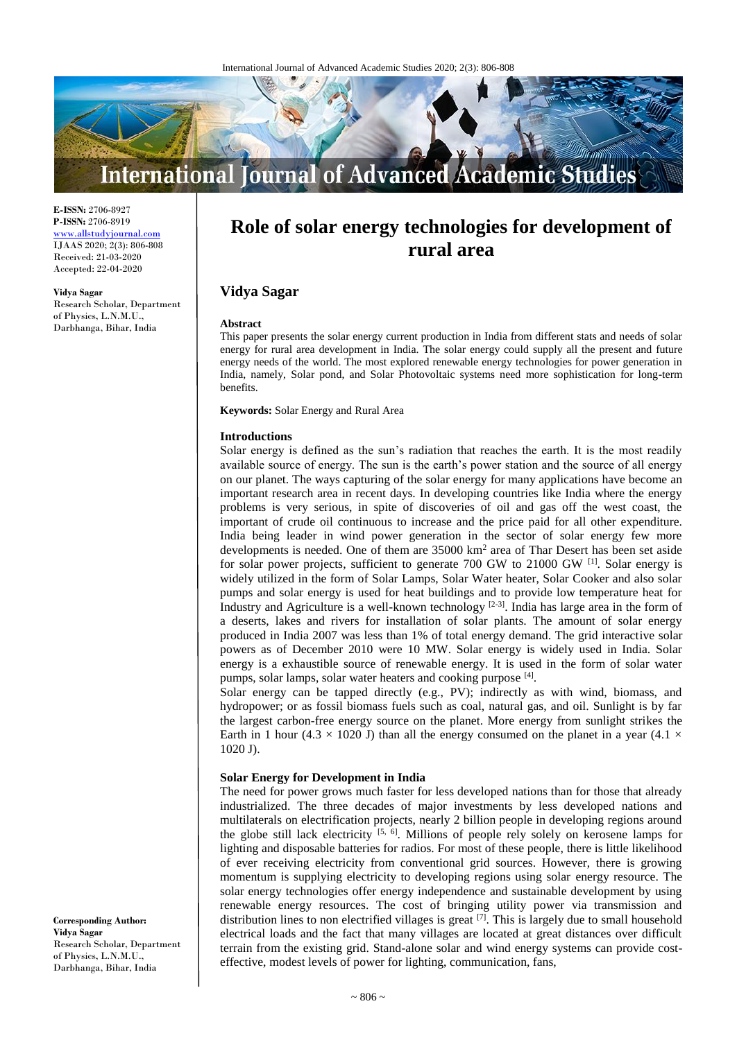

**E-ISSN:** 2706-8927 **P-ISSN:** 2706-8919 <www.allstudyjournal.com> IJAAS 2020; 2(3): 806-808 Received: 21-03-2020 Accepted: 22-04-2020

#### **Vidya Sagar**

Research Scholar, Department of Physics, L.N.M.U., Darbhanga, Bihar, India

# **Role of solar energy technologies for development of rural area**

# **Vidya Sagar**

#### **Abstract**

This paper presents the solar energy current production in India from different stats and needs of solar energy for rural area development in India. The solar energy could supply all the present and future energy needs of the world. The most explored renewable energy technologies for power generation in India, namely, Solar pond, and Solar Photovoltaic systems need more sophistication for long-term benefits.

**Keywords:** Solar Energy and Rural Area

#### **Introductions**

Solar energy is defined as the sun's radiation that reaches the earth. It is the most readily available source of energy. The sun is the earth's power station and the source of all energy on our planet. The ways capturing of the solar energy for many applications have become an important research area in recent days. In developing countries like India where the energy problems is very serious, in spite of discoveries of oil and gas off the west coast, the important of crude oil continuous to increase and the price paid for all other expenditure. India being leader in wind power generation in the sector of solar energy few more developments is needed. One of them are  $35000 \text{ km}^2$  area of Thar Desert has been set aside for solar power projects, sufficient to generate 700 GW to 21000 GW [1]. Solar energy is widely utilized in the form of Solar Lamps, Solar Water heater, Solar Cooker and also solar pumps and solar energy is used for heat buildings and to provide low temperature heat for Industry and Agriculture is a well-known technology  $[2-3]$ . India has large area in the form of a deserts, lakes and rivers for installation of solar plants. The amount of solar energy produced in India 2007 was less than 1% of total energy demand. The grid interactive solar powers as of December 2010 were 10 MW. Solar energy is widely used in India. Solar energy is a exhaustible source of renewable energy. It is used in the form of solar water pumps, solar lamps, solar water heaters and cooking purpose [4].

Solar energy can be tapped directly (e.g., PV); indirectly as with wind, biomass, and hydropower; or as fossil biomass fuels such as coal, natural gas, and oil. Sunlight is by far the largest carbon-free energy source on the planet. More energy from sunlight strikes the Earth in 1 hour (4.3  $\times$  1020 J) than all the energy consumed on the planet in a year (4.1  $\times$ 1020 J).

# **Solar Energy for Development in India**

The need for power grows much faster for less developed nations than for those that already industrialized. The three decades of major investments by less developed nations and multilaterals on electrification projects, nearly 2 billion people in developing regions around the globe still lack electricity  $[5, 6]$ . Millions of people rely solely on kerosene lamps for lighting and disposable batteries for radios. For most of these people, there is little likelihood of ever receiving electricity from conventional grid sources. However, there is growing momentum is supplying electricity to developing regions using solar energy resource. The solar energy technologies offer energy independence and sustainable development by using renewable energy resources. The cost of bringing utility power via transmission and distribution lines to non electrified villages is great  $[7]$ . This is largely due to small household electrical loads and the fact that many villages are located at great distances over difficult terrain from the existing grid. Stand-alone solar and wind energy systems can provide costeffective, modest levels of power for lighting, communication, fans,

**Corresponding Author: Vidya Sagar** Research Scholar, Department of Physics, L.N.M.U., Darbhanga, Bihar, India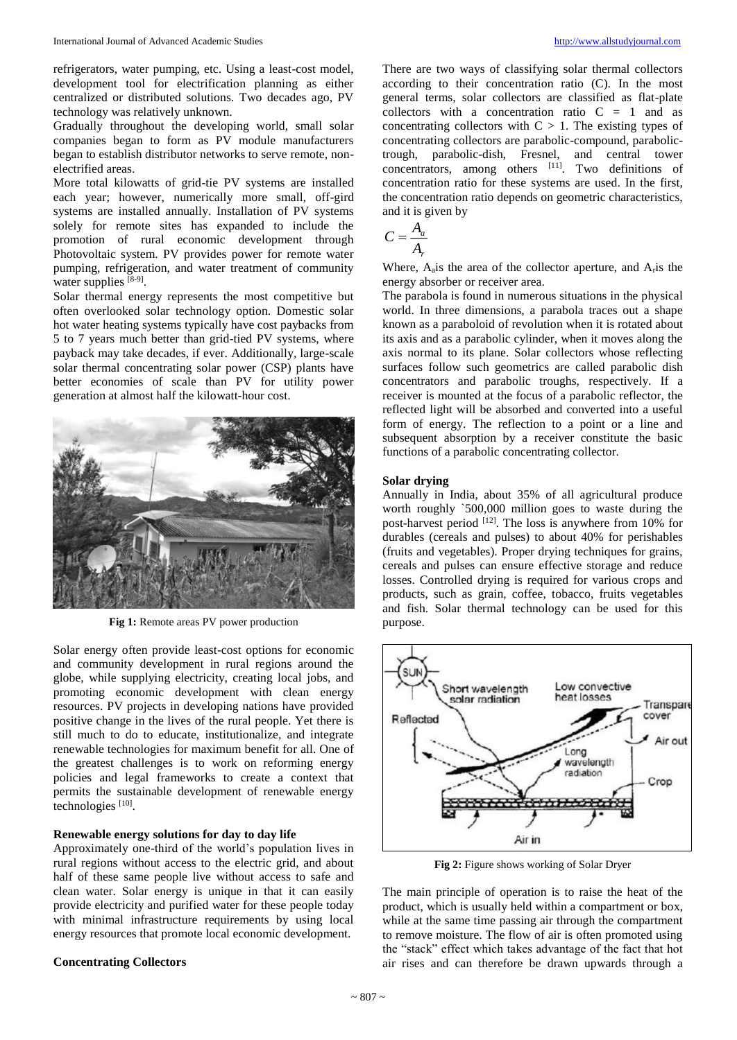refrigerators, water pumping, etc. Using a least-cost model, development tool for electrification planning as either centralized or distributed solutions. Two decades ago, PV technology was relatively unknown.

Gradually throughout the developing world, small solar companies began to form as PV module manufacturers began to establish distributor networks to serve remote, nonelectrified areas.

More total kilowatts of grid-tie PV systems are installed each year; however, numerically more small, off-gird systems are installed annually. Installation of PV systems solely for remote sites has expanded to include the promotion of rural economic development through Photovoltaic system. PV provides power for remote water pumping, refrigeration, and water treatment of community water supplies [8-9].

Solar thermal energy represents the most competitive but often overlooked solar technology option. Domestic solar hot water heating systems typically have cost paybacks from 5 to 7 years much better than grid-tied PV systems, where payback may take decades, if ever. Additionally, large-scale solar thermal concentrating solar power (CSP) plants have better economies of scale than PV for utility power generation at almost half the kilowatt-hour cost.



**Fig 1:** Remote areas PV power production

Solar energy often provide least-cost options for economic and community development in rural regions around the globe, while supplying electricity, creating local jobs, and promoting economic development with clean energy resources. PV projects in developing nations have provided positive change in the lives of the rural people. Yet there is still much to do to educate, institutionalize, and integrate renewable technologies for maximum benefit for all. One of the greatest challenges is to work on reforming energy policies and legal frameworks to create a context that permits the sustainable development of renewable energy technologies<sup>[10]</sup>.

#### **Renewable energy solutions for day to day life**

Approximately one-third of the world's population lives in rural regions without access to the electric grid, and about half of these same people live without access to safe and clean water. Solar energy is unique in that it can easily provide electricity and purified water for these people today with minimal infrastructure requirements by using local energy resources that promote local economic development.

#### **Concentrating Collectors**

There are two ways of classifying solar thermal collectors according to their concentration ratio (C). In the most general terms, solar collectors are classified as flat-plate collectors with a concentration ratio  $C = 1$  and as concentrating collectors with  $C > 1$ . The existing types of concentrating collectors are parabolic-compound, parabolictrough, parabolic-dish, Fresnel, and central tower concentrators, among others  $[11]$ . Two definitions of concentration ratio for these systems are used. In the first, the concentration ratio depends on geometric characteristics, and it is given by

$$
C = \frac{A_a}{A_r}
$$

Where,  $A_{a}$  is the area of the collector aperture, and  $A_{r}$  is the energy absorber or receiver area.

The parabola is found in numerous situations in the physical world. In three dimensions, a parabola traces out a shape known as a paraboloid of revolution when it is rotated about its axis and as a parabolic cylinder, when it moves along the axis normal to its plane. Solar collectors whose reflecting surfaces follow such geometrics are called parabolic dish concentrators and parabolic troughs, respectively. If a receiver is mounted at the focus of a parabolic reflector, the reflected light will be absorbed and converted into a useful form of energy. The reflection to a point or a line and subsequent absorption by a receiver constitute the basic functions of a parabolic concentrating collector.

#### **Solar drying**

Annually in India, about 35% of all agricultural produce worth roughly `500,000 million goes to waste during the post-harvest period  $[12]$ . The loss is anywhere from 10% for durables (cereals and pulses) to about 40% for perishables (fruits and vegetables). Proper drying techniques for grains, cereals and pulses can ensure effective storage and reduce losses. Controlled drying is required for various crops and products, such as grain, coffee, tobacco, fruits vegetables and fish. Solar thermal technology can be used for this purpose.



**Fig 2:** Figure shows working of Solar Dryer

The main principle of operation is to raise the heat of the product, which is usually held within a compartment or box, while at the same time passing air through the compartment to remove moisture. The flow of air is often promoted using the "stack" effect which takes advantage of the fact that hot air rises and can therefore be drawn upwards through a